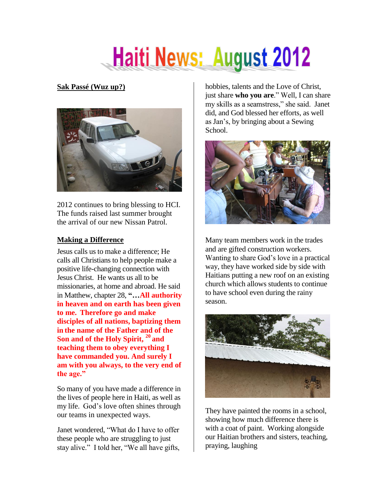# **Haiti News: August 2012**

## **Sak Passé (Wuz up?)**



2012 continues to bring blessing to HCI. The funds raised last summer brought the arrival of our new Nissan Patrol.

### **Making a Difference**

Jesus calls us to make a difference; He calls all Christians to help people make a positive life-changing connection with Jesus Christ. He wants us all to be missionaries, at home and abroad. He said in Matthew, chapter 28, **"…All authority in heaven and on earth has been given to me. Therefore go and make disciples of all nations, baptizing them in the name of the Father and of the Son and of the Holy Spirit, <sup>20</sup> and teaching them to obey everything I have commanded you. And surely I am with you always, to the very end of the age."**

So many of you have made a difference in the lives of people here in Haiti, as well as my life. God's love often shines through our teams in unexpected ways.

Janet wondered, "What do I have to offer these people who are struggling to just stay alive." I told her, "We all have gifts,

hobbies, talents and the Love of Christ, just share **who you are**." Well, I can share my skills as a seamstress," she said. Janet did, and God blessed her efforts, as well as Jan's, by bringing about a Sewing School.



Many team members work in the trades and are gifted construction workers. Wanting to share God's love in a practical way, they have worked side by side with Haitians putting a new roof on an existing church which allows students to continue to have school even during the rainy season.



They have painted the rooms in a school, showing how much difference there is with a coat of paint. Working alongside our Haitian brothers and sisters, teaching, praying, laughing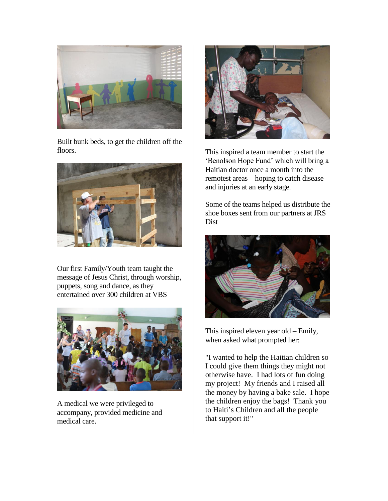

Built bunk beds, to get the children off the floors.



Our first Family/Youth team taught the message of Jesus Christ, through worship, puppets, song and dance, as they entertained over 300 children at VBS



A medical we were privileged to accompany, provided medicine and medical care.



This inspired a team member to start the 'Benolson Hope Fund' which will bring a Haitian doctor once a month into the remotest areas – hoping to catch disease and injuries at an early stage.

Some of the teams helped us distribute the shoe boxes sent from our partners at JRS Dist



This inspired eleven year old – Emily, when asked what prompted her:

"I wanted to help the Haitian children so I could give them things they might not otherwise have. I had lots of fun doing my project! My friends and I raised all the money by having a bake sale. I hope the children enjoy the bags! Thank you to Haiti's Children and all the people that support it!"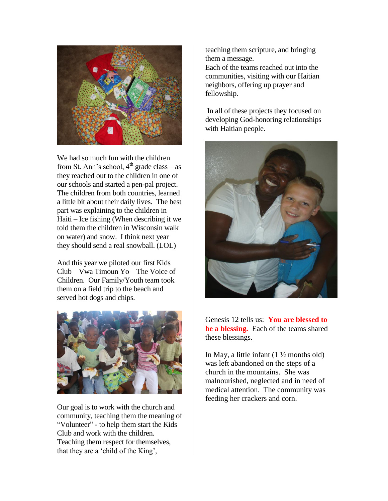

We had so much fun with the children from St. Ann's school,  $4<sup>th</sup>$  grade class – as they reached out to the children in one of our schools and started a pen-pal project. The children from both countries, learned a little bit about their daily lives. The best part was explaining to the children in Haiti – Ice fishing (When describing it we told them the children in Wisconsin walk on water) and snow. I think next year they should send a real snowball. (LOL)

And this year we piloted our first Kids Club – Vwa Timoun Yo – The Voice of Children. Our Family/Youth team took them on a field trip to the beach and served hot dogs and chips.



Our goal is to work with the church and community, teaching them the meaning of "Volunteer" - to help them start the Kids Club and work with the children. Teaching them respect for themselves, that they are a 'child of the King',

teaching them scripture, and bringing them a message.

Each of the teams reached out into the communities, visiting with our Haitian neighbors, offering up prayer and fellowship.

In all of these projects they focused on developing God-honoring relationships with Haitian people.



Genesis 12 tells us: **You are blessed to be a blessing.** Each of the teams shared these blessings.

In May, a little infant  $(1 \frac{1}{2})$  months old) was left abandoned on the steps of a church in the mountains. She was malnourished, neglected and in need of medical attention. The community was feeding her crackers and corn.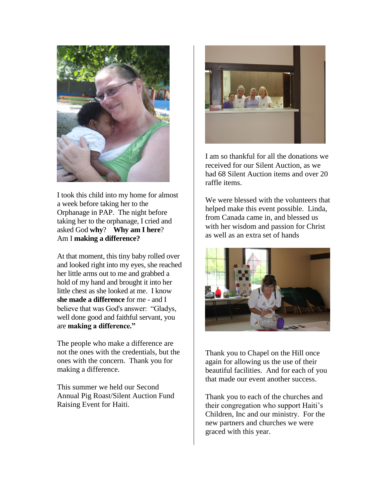

I took this child into my home for almost a week before taking her to the Orphanage in PAP. The night before taking her to the orphanage, I cried and asked God **why**? **Why am I here**? Am I **making a difference?**

At that moment, this tiny baby rolled over and looked right into my eyes, she reached her little arms out to me and grabbed a hold of my hand and brought it into her little chest as she looked at me. I know **she made a difference** for me - and I believe that was God's answer: "Gladys, well done good and faithful servant, you are **making a difference."**

The people who make a difference are not the ones with the credentials, but the ones with the concern. Thank you for making a difference.

This summer we held our Second Annual Pig Roast/Silent Auction Fund Raising Event for Haiti.



I am so thankful for all the donations we received for our Silent Auction, as we had 68 Silent Auction items and over 20 raffle items.

We were blessed with the volunteers that helped make this event possible. Linda, from Canada came in, and blessed us with her wisdom and passion for Christ as well as an extra set of hands



Thank you to Chapel on the Hill once again for allowing us the use of their beautiful facilities. And for each of you that made our event another success.

Thank you to each of the churches and their congregation who support Haiti's Children, Inc and our ministry. For the new partners and churches we were graced with this year.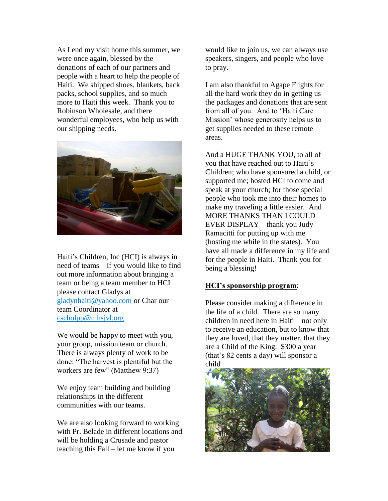As I end my visit home this summer, we were once again, blessed by the donations of each of our partners and people with a heart to help the people of Haiti. We shipped shoes, blankets, back packs, school supplies, and so much more to Haiti this week. Thank you to Robinson Wholesale, and there wonderful employees, who help us with our shipping needs.



Haiti's Children, Inc (HCI) is always in need of teams – if you would like to find out more information about bringing a team or being a team member to HCI please contact Gladys at [gladynhaiti@yahoo.com](mailto:gladynhaiti@yahoo.com) or Char our team Coordinator at [cscholpp@mhsjvl.org](mailto:cscholpp@mhsjvl.org)

We would be happy to meet with you, your group, mission team or church. There is always plenty of work to be done: "The harvest is plentiful but the workers are few" (Matthew 9:37)

We enjoy team building and building relationships in the different communities with our teams.

We are also looking forward to working with Pr. Belade in different locations and will be holding a Crusade and pastor teaching this Fall – let me know if you

would like to join us, we can always use speakers, singers, and people who love to pray.

I am also thankful to Agape Flights for all the hard work they do in getting us the packages and donations that are sent from all of you. And to 'Haiti Care Mission' whose generosity helps us to get supplies needed to these remote areas.

And a HUGE THANK YOU, to all of you that have reached out to Haiti's Children; who have sponsored a child, or supported me; hosted HCI to come and speak at your church; for those special people who took me into their homes to make my traveling a little easier. And MORE THANKS THAN I COULD EVER DISPLAY – thank you Judy Ramacitti for putting up with me (hosting me while in the states). You have all made a difference in my life and for the people in Haiti. Thank you for being a blessing!

#### **HCI's sponsorship program**:

Please consider making a difference in the life of a child. There are so many children in need here in Haiti – not only to receive an education, but to know that they are loved, that they matter, that they are a Child of the King. \$300 a year (that's 82 cents a day) will sponsor a child